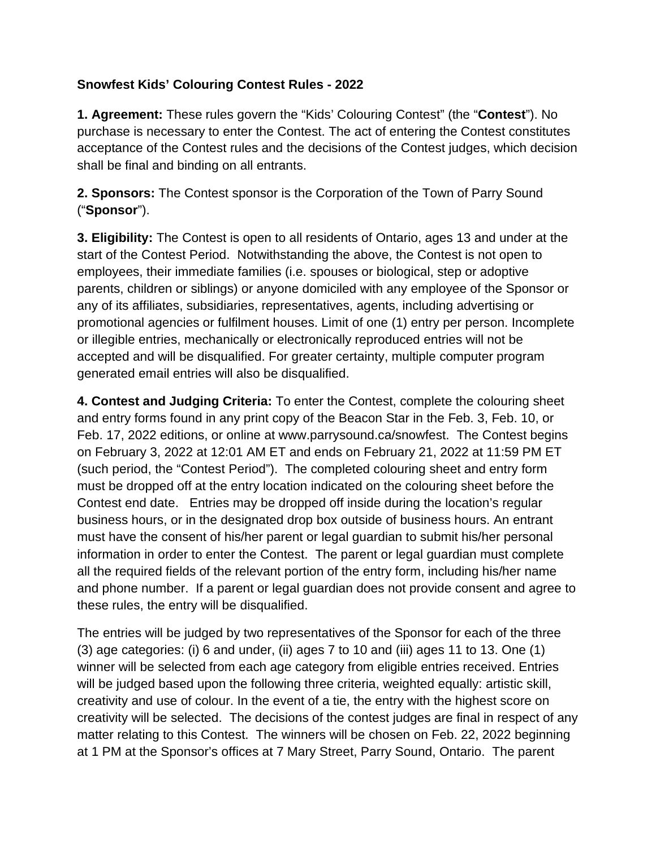## **Snowfest Kids' Colouring Contest Rules - 2022**

**1. Agreement:** These rules govern the "Kids' Colouring Contest" (the "**Contest**"). No purchase is necessary to enter the Contest. The act of entering the Contest constitutes acceptance of the Contest rules and the decisions of the Contest judges, which decision shall be final and binding on all entrants.

**2. Sponsors:** The Contest sponsor is the Corporation of the Town of Parry Sound ("**Sponsor**").

**3. Eligibility:** The Contest is open to all residents of Ontario, ages 13 and under at the start of the Contest Period. Notwithstanding the above, the Contest is not open to employees, their immediate families (i.e. spouses or biological, step or adoptive parents, children or siblings) or anyone domiciled with any employee of the Sponsor or any of its affiliates, subsidiaries, representatives, agents, including advertising or promotional agencies or fulfilment houses. Limit of one (1) entry per person. Incomplete or illegible entries, mechanically or electronically reproduced entries will not be accepted and will be disqualified. For greater certainty, multiple computer program generated email entries will also be disqualified.

**4. Contest and Judging Criteria:** To enter the Contest, complete the colouring sheet and entry forms found in any print copy of the Beacon Star in the Feb. 3, Feb. 10, or Feb. 17, 2022 editions, or online at www.parrysound.ca/snowfest. The Contest begins on February 3, 2022 at 12:01 AM ET and ends on February 21, 2022 at 11:59 PM ET (such period, the "Contest Period"). The completed colouring sheet and entry form must be dropped off at the entry location indicated on the colouring sheet before the Contest end date. Entries may be dropped off inside during the location's regular business hours, or in the designated drop box outside of business hours. An entrant must have the consent of his/her parent or legal guardian to submit his/her personal information in order to enter the Contest. The parent or legal guardian must complete all the required fields of the relevant portion of the entry form, including his/her name and phone number. If a parent or legal guardian does not provide consent and agree to these rules, the entry will be disqualified.

The entries will be judged by two representatives of the Sponsor for each of the three (3) age categories: (i) 6 and under, (ii) ages 7 to 10 and (iii) ages 11 to 13. One (1) winner will be selected from each age category from eligible entries received. Entries will be judged based upon the following three criteria, weighted equally: artistic skill, creativity and use of colour. In the event of a tie, the entry with the highest score on creativity will be selected. The decisions of the contest judges are final in respect of any matter relating to this Contest. The winners will be chosen on Feb. 22, 2022 beginning at 1 PM at the Sponsor's offices at 7 Mary Street, Parry Sound, Ontario.The parent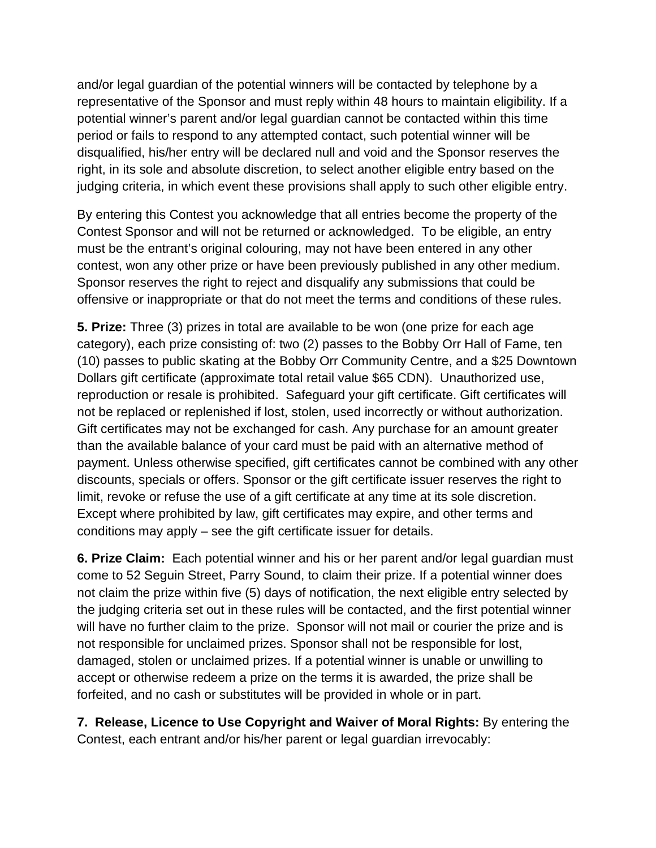and/or legal guardian of the potential winners will be contacted by telephone by a representative of the Sponsor and must reply within 48 hours to maintain eligibility. If a potential winner's parent and/or legal guardian cannot be contacted within this time period or fails to respond to any attempted contact, such potential winner will be disqualified, his/her entry will be declared null and void and the Sponsor reserves the right, in its sole and absolute discretion, to select another eligible entry based on the judging criteria, in which event these provisions shall apply to such other eligible entry.

By entering this Contest you acknowledge that all entries become the property of the Contest Sponsor and will not be returned or acknowledged. To be eligible, an entry must be the entrant's original colouring, may not have been entered in any other contest, won any other prize or have been previously published in any other medium. Sponsor reserves the right to reject and disqualify any submissions that could be offensive or inappropriate or that do not meet the terms and conditions of these rules.

**5. Prize:** Three (3) prizes in total are available to be won (one prize for each age category), each prize consisting of: two (2) passes to the Bobby Orr Hall of Fame, ten (10) passes to public skating at the Bobby Orr Community Centre, and a \$25 Downtown Dollars gift certificate (approximate total retail value \$65 CDN). Unauthorized use, reproduction or resale is prohibited. Safeguard your gift certificate. Gift certificates will not be replaced or replenished if lost, stolen, used incorrectly or without authorization. Gift certificates may not be exchanged for cash. Any purchase for an amount greater than the available balance of your card must be paid with an alternative method of payment. Unless otherwise specified, gift certificates cannot be combined with any other discounts, specials or offers. Sponsor or the gift certificate issuer reserves the right to limit, revoke or refuse the use of a gift certificate at any time at its sole discretion. Except where prohibited by law, gift certificates may expire, and other terms and conditions may apply – see the gift certificate issuer for details.

**6. Prize Claim:** Each potential winner and his or her parent and/or legal guardian must come to 52 Seguin Street, Parry Sound, to claim their prize. If a potential winner does not claim the prize within five (5) days of notification, the next eligible entry selected by the judging criteria set out in these rules will be contacted, and the first potential winner will have no further claim to the prize. Sponsor will not mail or courier the prize and is not responsible for unclaimed prizes. Sponsor shall not be responsible for lost, damaged, stolen or unclaimed prizes. If a potential winner is unable or unwilling to accept or otherwise redeem a prize on the terms it is awarded, the prize shall be forfeited, and no cash or substitutes will be provided in whole or in part.

**7. Release, Licence to Use Copyright and Waiver of Moral Rights:** By entering the Contest, each entrant and/or his/her parent or legal guardian irrevocably: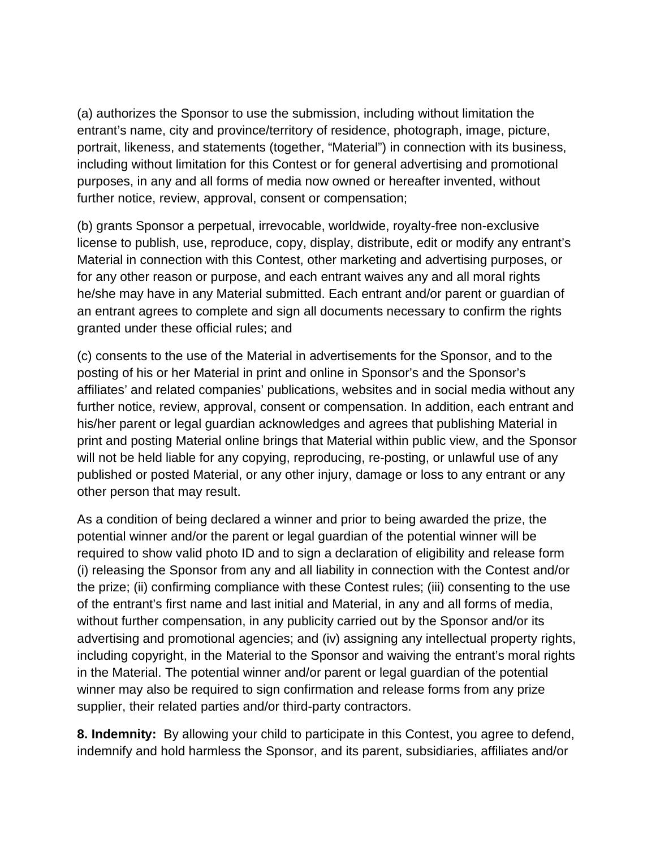(a) authorizes the Sponsor to use the submission, including without limitation the entrant's name, city and province/territory of residence, photograph, image, picture, portrait, likeness, and statements (together, "Material") in connection with its business, including without limitation for this Contest or for general advertising and promotional purposes, in any and all forms of media now owned or hereafter invented, without further notice, review, approval, consent or compensation;

(b) grants Sponsor a perpetual, irrevocable, worldwide, royalty-free non-exclusive license to publish, use, reproduce, copy, display, distribute, edit or modify any entrant's Material in connection with this Contest, other marketing and advertising purposes, or for any other reason or purpose, and each entrant waives any and all moral rights he/she may have in any Material submitted. Each entrant and/or parent or guardian of an entrant agrees to complete and sign all documents necessary to confirm the rights granted under these official rules; and

(c) consents to the use of the Material in advertisements for the Sponsor, and to the posting of his or her Material in print and online in Sponsor's and the Sponsor's affiliates' and related companies' publications, websites and in social media without any further notice, review, approval, consent or compensation. In addition, each entrant and his/her parent or legal guardian acknowledges and agrees that publishing Material in print and posting Material online brings that Material within public view, and the Sponsor will not be held liable for any copying, reproducing, re-posting, or unlawful use of any published or posted Material, or any other injury, damage or loss to any entrant or any other person that may result.

As a condition of being declared a winner and prior to being awarded the prize, the potential winner and/or the parent or legal guardian of the potential winner will be required to show valid photo ID and to sign a declaration of eligibility and release form (i) releasing the Sponsor from any and all liability in connection with the Contest and/or the prize; (ii) confirming compliance with these Contest rules; (iii) consenting to the use of the entrant's first name and last initial and Material, in any and all forms of media, without further compensation, in any publicity carried out by the Sponsor and/or its advertising and promotional agencies; and (iv) assigning any intellectual property rights, including copyright, in the Material to the Sponsor and waiving the entrant's moral rights in the Material. The potential winner and/or parent or legal guardian of the potential winner may also be required to sign confirmation and release forms from any prize supplier, their related parties and/or third-party contractors.

**8. Indemnity:** By allowing your child to participate in this Contest, you agree to defend, indemnify and hold harmless the Sponsor, and its parent, subsidiaries, affiliates and/or